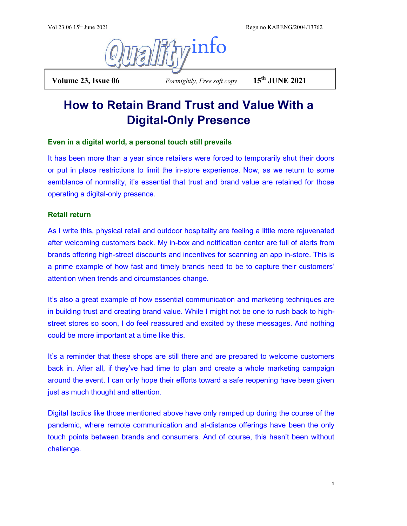Vol 23.06 15<sup>th</sup> June 2021 Regn no KARENG/2004/13762



 **Volume 23, Issue 06** *Fortnightly, Free soft copy* **15th JUNE 2021**

# **How to Retain Brand Trust and Value With a Digital-Only Presence**

## **Even in a digital world, a personal touch still prevails**

It has been more than a year since retailers were forced to temporarily shut their doors or put in place restrictions to limit the in-store experience. Now, as we return to some semblance of normality, it's essential that trust and brand value are retained for those operating a digital-only presence.

## **Retail return**

As I write this, physical retail and outdoor hospitality are feeling a little more rejuvenated after welcoming customers back. My in-box and notification center are full of alerts from brands offering high-street discounts and incentives for scanning an app in-store. This is a prime example of how fast and timely brands need to be to capture their customers' attention when trends and circumstances change.

It's also a great example of how essential communication and marketing techniques are in building trust and creating brand value. While I might not be one to rush back to highstreet stores so soon, I do feel reassured and excited by these messages. And nothing could be more important at a time like this.

It's a reminder that these shops are still there and are prepared to welcome customers back in. After all, if they've had time to plan and create a whole marketing campaign around the event, I can only hope their efforts toward a safe reopening have been given just as much thought and attention.

Digital tactics like those mentioned above have only ramped up during the course of the pandemic, where remote communication and at-distance offerings have been the only touch points between brands and consumers. And of course, this hasn't been without challenge.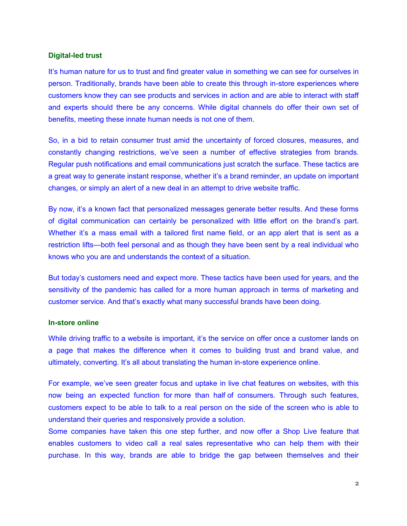#### **Digital-led trust**

It's human nature for us to trust and find greater value in something we can see for ourselves in person. Traditionally, brands have been able to create this through in-store experiences where customers know they can see products and services in action and are able to interact with staff and experts should there be any concerns. While digital channels do offer their own set of benefits, meeting these innate human needs is not one of them.

So, in a bid to retain consumer trust amid the uncertainty of forced closures, measures, and constantly changing restrictions, we've seen a number of effective strategies from brands. Regular push notifications and email communications just scratch the surface. These tactics are a great way to generate instant response, whether it's a brand reminder, an update on important changes, or simply an alert of a new deal in an attempt to drive website traffic.

By now, it's a known fact that personalized messages generate better results. And these forms of digital communication can certainly be personalized with little effort on the brand's part. Whether it's a mass email with a tailored first name field, or an app alert that is sent as a restriction lifts—both feel personal and as though they have been sent by a real individual who knows who you are and understands the context of a situation.

But today's customers need and expect more. These tactics have been used for years, and the sensitivity of the pandemic has called for a more human approach in terms of marketing and customer service. And that's exactly what many successful brands have been doing.

#### **In-store online**

While driving traffic to a website is important, it's the service on offer once a customer lands on a page that makes the difference when it comes to building trust and brand value, and ultimately, converting. It's all about translating the human in-store experience online.

For example, we've seen greater focus and uptake in live chat features on websites, with this now being an expected function for [more than half](https://www.gomoxie.com/press/shoppers-want-to-chat-on-mobile) of consumers. Through such features, customers expect to be able to talk to a real person on the side of the screen who is able to understand their queries and responsively provide a solution.

Some companies have taken this one step further, and now offer a Shop Live feature that enables customers to video call a real sales representative who can help them with their purchase. In this way, brands are able to bridge the gap between themselves and their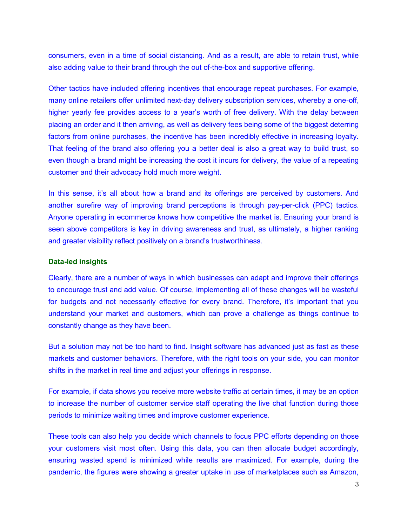consumers, even in a time of social distancing. And as a result, are able to retain trust, while also adding value to their brand through the out of-the-box and supportive offering.

Other tactics have included offering incentives that encourage repeat purchases. For example, many online retailers offer unlimited next-day delivery subscription services, whereby a one-off, higher yearly fee provides access to a year's worth of free delivery. With the delay between placing an order and it then arriving, as well as delivery fees being some of the biggest deterring factors from online purchases, the incentive has been incredibly effective in increasing loyalty. That feeling of the brand also offering you a better deal is also a great way to build trust, so even though a brand might be increasing the cost it incurs for delivery, the value of a repeating customer and their advocacy hold much more weight.

In this sense, it's all about how a brand and its offerings are perceived by customers. And another surefire way of improving brand perceptions is through pay-per-click (PPC) tactics. Anyone operating in ecommerce knows how competitive the market is. Ensuring your brand is seen above competitors is key in driving awareness and trust, as ultimately, a higher ranking and greater visibility reflect positively on a brand's trustworthiness.

#### **Data-led insights**

Clearly, there are a number of ways in which businesses can adapt and improve their offerings to encourage trust and add value. Of course, implementing all of these changes will be wasteful for budgets and not necessarily effective for every brand. Therefore, it's important that you understand your market and customers, which can prove a challenge as things continue to constantly change as they have been.

But a solution may not be too hard to find. Insight software has advanced just as fast as these markets and customer behaviors. Therefore, with the right tools on your side, you can monitor shifts in the market in real time and adjust your offerings in response.

For example, if data shows you receive more website traffic at certain times, it may be an option to increase the number of customer service staff operating the live chat function during those periods to minimize waiting times and improve customer experience.

These tools can also help you decide which channels to focus PPC efforts depending on those your customers visit most often. Using this data, you can then allocate budget accordingly, ensuring wasted spend is minimized while results are maximized. For example, during the pandemic, the figures were showing a greater uptake in use of marketplaces such as Amazon,